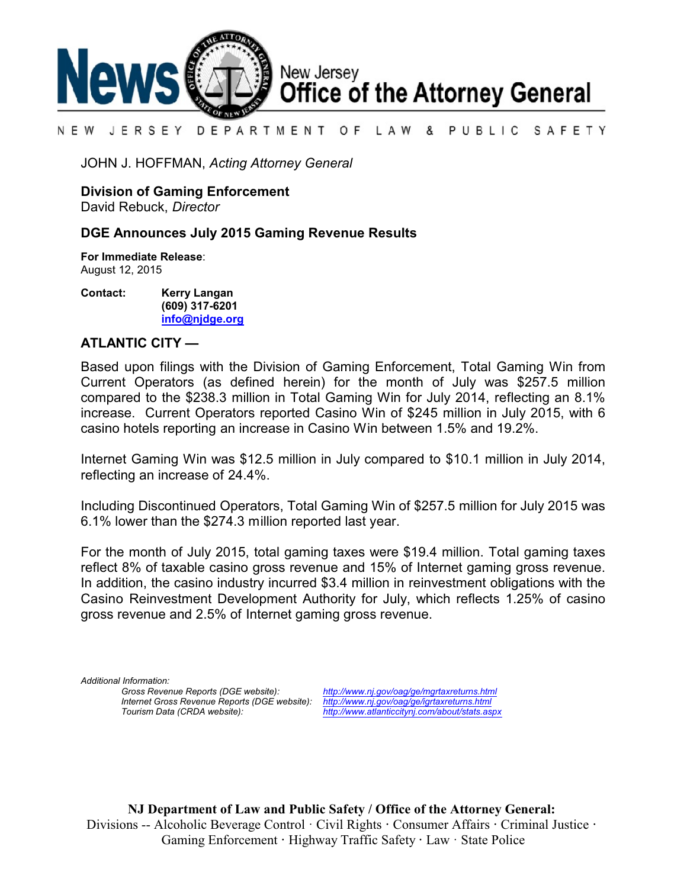

#### N E W JERSEY DEPARTMENT OF LAW & PUBLIC SAFETY

JOHN J. HOFFMAN, *Acting Attorney General*

**Division of Gaming Enforcement**

David Rebuck, *Director*

# **DGE Announces July 2015 Gaming Revenue Results**

**For Immediate Release**: August 12, 2015

**Contact: Kerry Langan (609) 317-6201 [info@njdge.org](file:///|//info@njdge.org)**

# **ATLANTIC CITY —**

Based upon filings with the Division of Gaming Enforcement, Total Gaming Win from Current Operators (as defined herein) for the month of July was \$257.5 million compared to the \$238.3 million in Total Gaming Win for July 2014, reflecting an 8.1% increase. Current Operators reported Casino Win of \$245 million in July 2015, with 6 casino hotels reporting an increase in Casino Win between 1.5% and 19.2%.

Internet Gaming Win was \$12.5 million in July compared to \$10.1 million in July 2014, reflecting an increase of 24.4%.

Including Discontinued Operators, Total Gaming Win of \$257.5 million for July 2015 was 6.1% lower than the \$274.3 million reported last year.

For the month of July 2015, total gaming taxes were \$19.4 million. Total gaming taxes reflect 8% of taxable casino gross revenue and 15% of Internet gaming gross revenue. In addition, the casino industry incurred \$3.4 million in reinvestment obligations with the Casino Reinvestment Development Authority for July, which reflects 1.25% of casino gross revenue and 2.5% of Internet gaming gross revenue.

*Additional Information: Internet Gross Revenue Reports (DGE website):*<br>Tourism Data (CRDA website):

*Gross Revenue Reports (DGE website): <http://www.nj.gov/oag/ge/mgrtaxreturns.html> Tourism Data (CRDA website): <http://www.atlanticcitynj.com/about/stats.aspx>*

**NJ Department of Law and Public Safety / Office of the Attorney General:** Divisions -- Alcoholic Beverage Control · Civil Rights **·** Consumer Affairs **·** Criminal Justice **·**  Gaming Enforcement **·** Highway Traffic Safety **·** Law · State Police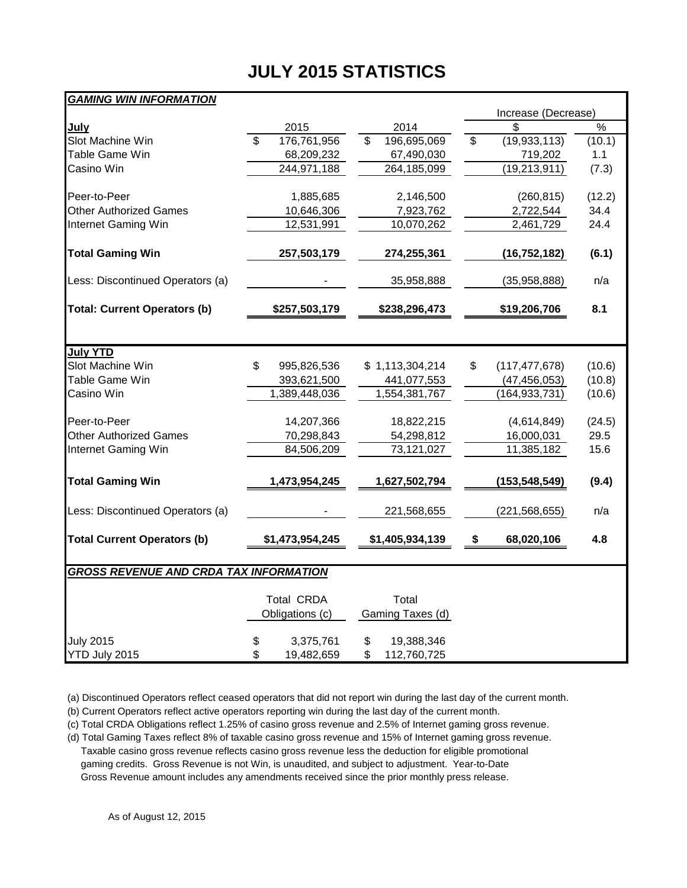# **JULY 2015 STATISTICS**

| <b>GAMING WIN INFORMATION</b>                 |                          |                   |                  |                 |                     |                 |        |
|-----------------------------------------------|--------------------------|-------------------|------------------|-----------------|---------------------|-----------------|--------|
|                                               |                          |                   |                  |                 | Increase (Decrease) |                 |        |
| July                                          |                          | 2015              |                  | 2014            |                     | \$.             | %      |
| Slot Machine Win                              | $\overline{\mathcal{E}}$ | 176,761,956       | \$               | 196,695,069     | \$                  | (19, 933, 113)  | (10.1) |
| Table Game Win                                |                          | 68,209,232        |                  | 67,490,030      |                     | 719,202         | 1.1    |
| Casino Win                                    |                          | 244,971,188       |                  | 264,185,099     |                     | (19, 213, 911)  | (7.3)  |
| Peer-to-Peer                                  |                          | 1,885,685         |                  | 2,146,500       |                     | (260, 815)      | (12.2) |
| <b>Other Authorized Games</b>                 |                          | 10,646,306        |                  | 7,923,762       |                     | 2,722,544       | 34.4   |
| Internet Gaming Win                           |                          | 12,531,991        |                  | 10,070,262      |                     | 2,461,729       | 24.4   |
| <b>Total Gaming Win</b>                       |                          | 257,503,179       |                  | 274,255,361     |                     | (16, 752, 182)  | (6.1)  |
| Less: Discontinued Operators (a)              |                          |                   |                  | 35,958,888      |                     | (35,958,888)    | n/a    |
| <b>Total: Current Operators (b)</b>           |                          | \$257,503,179     |                  | \$238,296,473   |                     | \$19,206,706    | 8.1    |
|                                               |                          |                   |                  |                 |                     |                 |        |
| <b>July YTD</b><br>Slot Machine Win           | \$                       | 995,826,536       |                  | \$1,113,304,214 | \$                  | (117, 477, 678) | (10.6) |
| Table Game Win                                |                          | 393,621,500       |                  | 441,077,553     |                     | (47, 456, 053)  | (10.8) |
| Casino Win                                    |                          | 1,389,448,036     |                  | 1,554,381,767   |                     | (164, 933, 731) | (10.6) |
|                                               |                          |                   |                  |                 |                     |                 |        |
| Peer-to-Peer                                  |                          | 14,207,366        |                  | 18,822,215      |                     | (4,614,849)     | (24.5) |
| <b>Other Authorized Games</b>                 |                          | 70,298,843        |                  | 54,298,812      |                     | 16,000,031      | 29.5   |
| Internet Gaming Win                           |                          | 84,506,209        |                  | 73,121,027      |                     | 11,385,182      | 15.6   |
| <b>Total Gaming Win</b>                       |                          | 1,473,954,245     |                  | 1,627,502,794   |                     | (153, 548, 549) | (9.4)  |
| Less: Discontinued Operators (a)              |                          |                   |                  | 221,568,655     |                     | (221, 568, 655) | n/a    |
| <b>Total Current Operators (b)</b>            |                          | \$1,473,954,245   |                  | \$1,405,934,139 | \$                  | 68,020,106      | 4.8    |
| <b>GROSS REVENUE AND CRDA TAX INFORMATION</b> |                          |                   |                  |                 |                     |                 |        |
|                                               |                          |                   |                  |                 |                     |                 |        |
|                                               |                          | <b>Total CRDA</b> |                  | Total           |                     |                 |        |
|                                               | Obligations (c)          |                   | Gaming Taxes (d) |                 |                     |                 |        |
| <b>July 2015</b>                              | \$                       | 3,375,761         | \$               | 19,388,346      |                     |                 |        |
| YTD July 2015                                 | \$                       | 19,482,659        | \$               | 112,760,725     |                     |                 |        |

(a) Discontinued Operators reflect ceased operators that did not report win during the last day of the current month.

(b) Current Operators reflect active operators reporting win during the last day of the current month.

(c) Total CRDA Obligations reflect 1.25% of casino gross revenue and 2.5% of Internet gaming gross revenue.

(d) Total Gaming Taxes reflect 8% of taxable casino gross revenue and 15% of Internet gaming gross revenue. Taxable casino gross revenue reflects casino gross revenue less the deduction for eligible promotional gaming credits. Gross Revenue is not Win, is unaudited, and subject to adjustment. Year-to-Date Gross Revenue amount includes any amendments received since the prior monthly press release.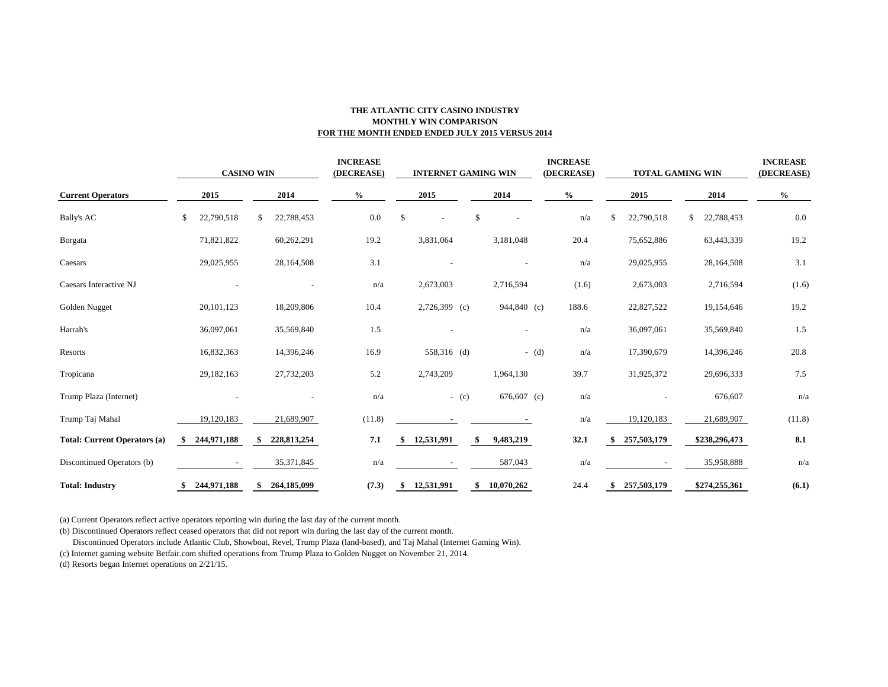### **THE ATLANTIC CITY CASINO INDUSTRY MONTHLY WIN COMPARISON FOR THE MONTH ENDED ENDED JULY 2015 VERSUS 2014**

| <b>Current Operators</b>            | <b>CASINO WIN</b>  |                  | <b>INCREASE</b><br>(DECREASE) | <b>INTERNET GAMING WIN</b> |                          | <b>INCREASE</b><br>(DECREASE) | <b>TOTAL GAMING WIN</b>  |                  | <b>INCREASE</b><br>(DECREASE) |
|-------------------------------------|--------------------|------------------|-------------------------------|----------------------------|--------------------------|-------------------------------|--------------------------|------------------|-------------------------------|
|                                     | 2015               | 2014             | $\%$                          | 2015                       | 2014                     | $\%$                          | 2015                     | 2014             | $\frac{6}{6}$                 |
| <b>Bally's AC</b>                   | 22,790,518<br>\$   | 22,788,453<br>\$ | 0.0                           | \$                         | \$                       | n/a                           | 22,790,518<br>\$         | 22,788,453<br>\$ | 0.0                           |
| Borgata                             | 71,821,822         | 60,262,291       | 19.2                          | 3,831,064                  | 3,181,048                | 20.4                          | 75,652,886               | 63,443,339       | 19.2                          |
| Caesars                             | 29,025,955         | 28,164,508       | 3.1                           |                            |                          | n/a                           | 29,025,955               | 28,164,508       | 3.1                           |
| Caesars Interactive NJ              |                    |                  | n/a                           | 2,673,003                  | 2,716,594                | (1.6)                         | 2,673,003                | 2,716,594        | (1.6)                         |
| Golden Nugget                       | 20, 101, 123       | 18,209,806       | 10.4                          | 2,726,399 (c)              | 944,840 (c)              | 188.6                         | 22,827,522               | 19,154,646       | 19.2                          |
| Harrah's                            | 36,097,061         | 35,569,840       | 1.5                           |                            | $\overline{\phantom{a}}$ | n/a                           | 36,097,061               | 35,569,840       | 1.5                           |
| Resorts                             | 16,832,363         | 14,396,246       | 16.9                          | 558,316 (d)                |                          | $-$ (d)<br>n/a                | 17,390,679               | 14,396,246       | 20.8                          |
| Tropicana                           | 29,182,163         | 27,732,203       | 5.2                           | 2,743,209                  | 1,964,130                | 39.7                          | 31,925,372               | 29,696,333       | 7.5                           |
| Trump Plaza (Internet)              |                    |                  | n/a                           |                            | 676,607 (c)<br>$-$ (c)   | n/a                           |                          | 676,607          | n/a                           |
| Trump Taj Mahal                     | 19,120,183         | 21,689,907       | (11.8)                        |                            |                          | n/a                           | 19,120,183               | 21,689,907       | (11.8)                        |
| <b>Total: Current Operators (a)</b> | 244,971,188<br>\$. | 228, 813, 254    | 7.1                           | 12,531,991                 | \$<br>9,483,219          | 32.1                          | 257,503,179              | \$238,296,473    | 8.1                           |
| Discontinued Operators (b)          |                    | 35,371,845       | n/a                           |                            | 587,043                  | n/a                           | $\overline{\phantom{a}}$ | 35,958,888       | n/a                           |
| <b>Total: Industry</b>              | 244,971,188<br>\$  | 264,185,099      | (7.3)                         | 12,531,991                 | 10,070,262<br>\$         | 24.4                          | 257,503,179              | \$274,255,361    | (6.1)                         |

(a) Current Operators reflect active operators reporting win during the last day of the current month.

(b) Discontinued Operators reflect ceased operators that did not report win during the last day of the current month.

Discontinued Operators include Atlantic Club, Showboat, Revel, Trump Plaza (land-based), and Taj Mahal (Internet Gaming Win).

(c) Internet gaming website Betfair.com shifted operations from Trump Plaza to Golden Nugget on November 21, 2014.

(d) Resorts began Internet operations on 2/21/15.